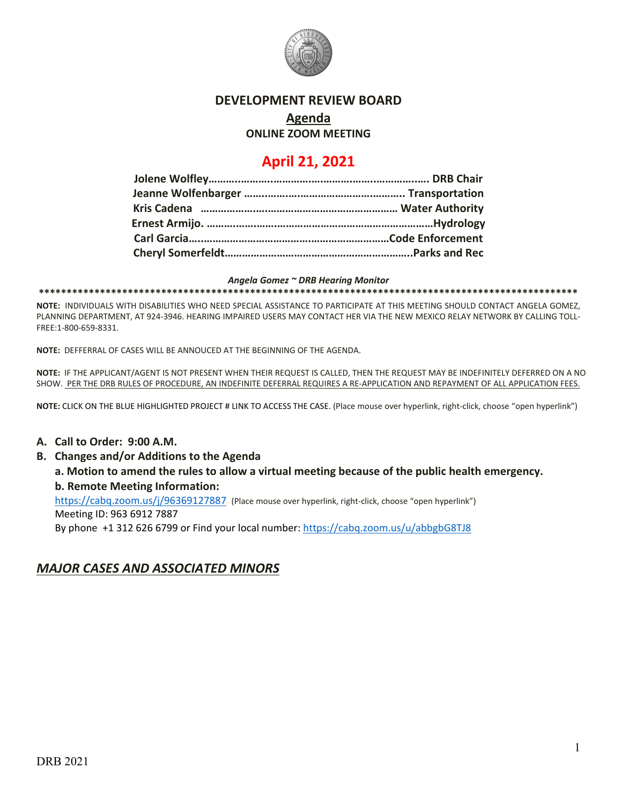

#### **DEVELOPMENT REVIEW BOARD**

# **Agenda**

**ONLINE ZOOM MEETING**

## **April 21, 2021**

#### *Angela Gomez ~ DRB Hearing Monitor*

**\*\*\*\*\*\*\*\*\*\*\*\*\*\*\*\*\*\*\*\*\*\*\*\*\*\*\*\*\*\*\*\*\*\*\*\*\*\*\*\*\*\*\*\*\*\*\*\*\*\*\*\*\*\*\*\*\*\*\*\*\*\*\*\*\*\*\*\*\*\*\*\*\*\*\*\*\*\*\*\*\*\*\*\*\*\*\*\*\*\*\*\*\*\*\*\*\***

**NOTE:** INDIVIDUALS WITH DISABILITIES WHO NEED SPECIAL ASSISTANCE TO PARTICIPATE AT THIS MEETING SHOULD CONTACT ANGELA GOMEZ, PLANNING DEPARTMENT, AT 924-3946. HEARING IMPAIRED USERS MAY CONTACT HER VIA THE NEW MEXICO RELAY NETWORK BY CALLING TOLL-FREE:1-800-659-8331.

**NOTE:** DEFFERRAL OF CASES WILL BE ANNOUCED AT THE BEGINNING OF THE AGENDA.

**NOTE:** IF THE APPLICANT/AGENT IS NOT PRESENT WHEN THEIR REQUEST IS CALLED, THEN THE REQUEST MAY BE INDEFINITELY DEFERRED ON A NO SHOW. PER THE DRB RULES OF PROCEDURE, AN INDEFINITE DEFERRAL REQUIRES A RE-APPLICATION AND REPAYMENT OF ALL APPLICATION FEES.

**NOTE:** CLICK ON THE BLUE HIGHLIGHTED PROJECT # LINK TO ACCESS THE CASE. (Place mouse over hyperlink, right-click, choose "open hyperlink")

#### **A. Call to Order: 9:00 A.M.**

- **B. Changes and/or Additions to the Agenda**
	- **a. Motion to amend the rules to allow a virtual meeting because of the public health emergency. b. Remote Meeting Information:**

<https://cabq.zoom.us/j/96369127887> (Place mouse over hyperlink, right-click, choose "open hyperlink") Meeting ID: 963 6912 7887

By phone +1 312 626 6799 or Find your local number[: https://cabq.zoom.us/u/abbgbG8TJ8](https://cabq.zoom.us/u/abbgbG8TJ8)

## *MAJOR CASES AND ASSOCIATED MINORS*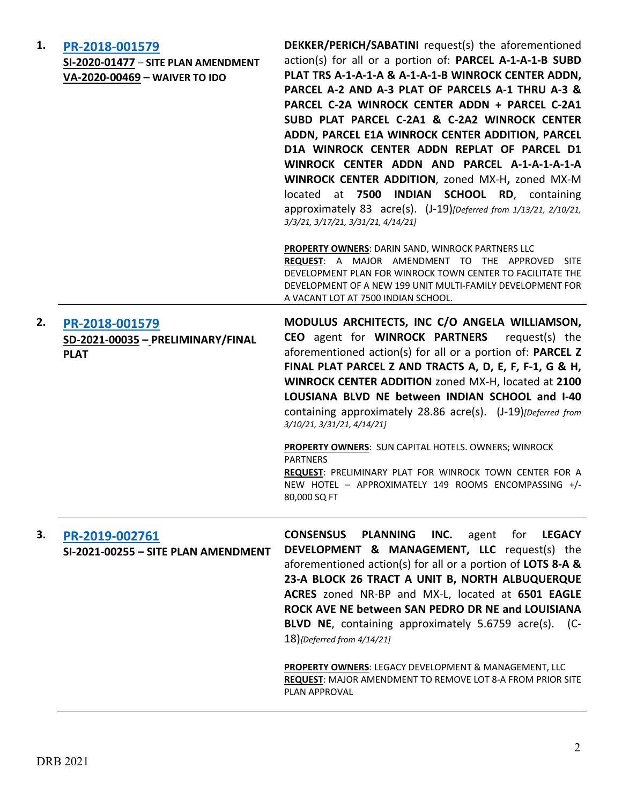| 1. | PR-2018-001579<br>SI-2020-01477 - SITE PLAN AMENDMENT<br>VA-2020-00469 - WAIVER TO IDO | <b>DEKKER/PERICH/SABATINI</b> request(s) the aforementioned<br>action(s) for all or a portion of: PARCEL A-1-A-1-B SUBD<br>PLAT TRS A-1-A-1-A & A-1-A-1-B WINROCK CENTER ADDN,<br>PARCEL A-2 AND A-3 PLAT OF PARCELS A-1 THRU A-3 &<br>PARCEL C-2A WINROCK CENTER ADDN + PARCEL C-2A1<br>SUBD PLAT PARCEL C-2A1 & C-2A2 WINROCK CENTER<br>ADDN, PARCEL E1A WINROCK CENTER ADDITION, PARCEL<br>D1A WINROCK CENTER ADDN REPLAT OF PARCEL D1<br>WINROCK CENTER ADDN AND PARCEL A-1-A-1-A-1-A<br>WINROCK CENTER ADDITION, zoned MX-H, zoned MX-M<br>at 7500 INDIAN SCHOOL RD, containing<br>located<br>approximately 83 acre(s). (J-19)[Deferred from 1/13/21, 2/10/21,<br>3/3/21, 3/17/21, 3/31/21, 4/14/21]<br><b>PROPERTY OWNERS: DARIN SAND, WINROCK PARTNERS LLC</b><br>REQUEST: A MAJOR AMENDMENT TO THE APPROVED SITE<br>DEVELOPMENT PLAN FOR WINROCK TOWN CENTER TO FACILITATE THE<br>DEVELOPMENT OF A NEW 199 UNIT MULTI-FAMILY DEVELOPMENT FOR<br>A VACANT LOT AT 7500 INDIAN SCHOOL. |
|----|----------------------------------------------------------------------------------------|---------------------------------------------------------------------------------------------------------------------------------------------------------------------------------------------------------------------------------------------------------------------------------------------------------------------------------------------------------------------------------------------------------------------------------------------------------------------------------------------------------------------------------------------------------------------------------------------------------------------------------------------------------------------------------------------------------------------------------------------------------------------------------------------------------------------------------------------------------------------------------------------------------------------------------------------------------------------------------------------|
| 2. | PR-2018-001579<br>SD-2021-00035 - PRELIMINARY/FINAL<br><b>PLAT</b>                     | MODULUS ARCHITECTS, INC C/O ANGELA WILLIAMSON,<br>CEO agent for WINROCK PARTNERS request(s) the<br>aforementioned action(s) for all or a portion of: PARCEL Z<br>FINAL PLAT PARCEL Z AND TRACTS A, D, E, F, F-1, G & H,<br>WINROCK CENTER ADDITION zoned MX-H, located at 2100<br>LOUSIANA BLVD NE between INDIAN SCHOOL and I-40<br>containing approximately 28.86 acre(s). (J-19)[Deferred from<br>3/10/21, 3/31/21, 4/14/21]<br><b>PROPERTY OWNERS: SUN CAPITAL HOTELS. OWNERS; WINROCK</b><br><b>PARTNERS</b><br>REQUEST: PRELIMINARY PLAT FOR WINROCK TOWN CENTER FOR A<br>NEW HOTEL - APPROXIMATELY 149 ROOMS ENCOMPASSING +/-<br>80,000 SQ FT                                                                                                                                                                                                                                                                                                                                        |
| 3. | PR-2019-002761<br>SI-2021-00255 - SITE PLAN AMENDMENT                                  | <b>CONSENSUS</b><br><b>PLANNING</b><br>INC.<br>agent<br>for<br><b>LEGACY</b><br>DEVELOPMENT & MANAGEMENT, LLC request(s) the<br>aforementioned action(s) for all or a portion of LOTS 8-A &<br>23-A BLOCK 26 TRACT A UNIT B, NORTH ALBUQUERQUE<br>ACRES zoned NR-BP and MX-L, located at 6501 EAGLE<br>ROCK AVE NE between SAN PEDRO DR NE and LOUISIANA<br>BLVD NE, containing approximately 5.6759 acre(s). (C-<br>18){Deferred from 4/14/21]<br>PROPERTY OWNERS: LEGACY DEVELOPMENT & MANAGEMENT, LLC<br>REQUEST: MAJOR AMENDMENT TO REMOVE LOT 8-A FROM PRIOR SITE<br>PLAN APPROVAL                                                                                                                                                                                                                                                                                                                                                                                                     |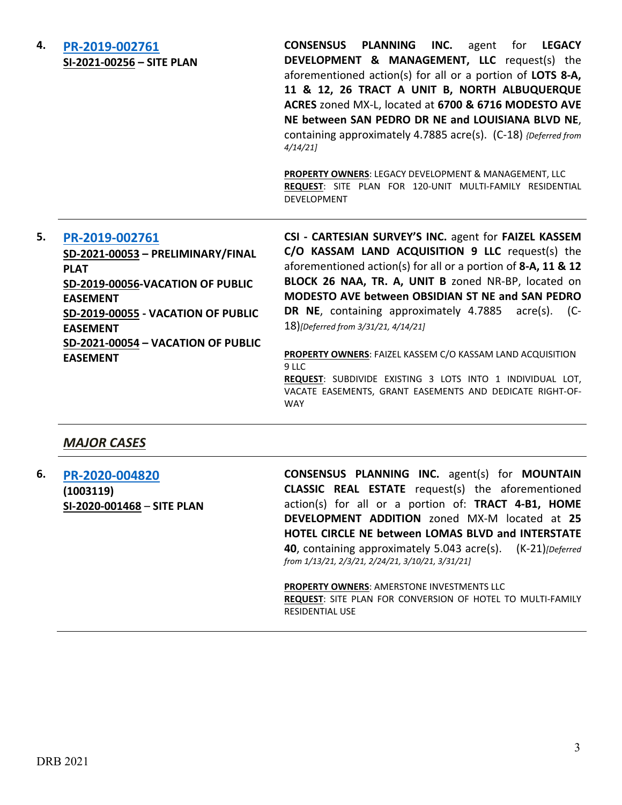**4. [PR-2019-002761](http://data.cabq.gov/government/planning/DRB/PR-2019-002761/DRB%20Submittals/PR-2019-002761_April_21_2021_Supp/Application/PR-2019-002761%20Site%20Plans%20Supplemental%204-15-21.pdf) SI-2021-00256 – SITE PLAN** **CONSENSUS PLANNING INC.** agent for **LEGACY DEVELOPMENT & MANAGEMENT, LLC** request(s) the aforementioned action(s) for all or a portion of **LOTS 8-A, 11 & 12, 26 TRACT A UNIT B, NORTH ALBUQUERQUE ACRES** zoned MX-L, located at **6700 & 6716 MODESTO AVE NE between SAN PEDRO DR NE and LOUISIANA BLVD NE**, containing approximately 4.7885 acre(s). (C-18) *{Deferred from 4/14/21]*

**PROPERTY OWNERS**: LEGACY DEVELOPMENT & MANAGEMENT, LLC **REQUEST**: SITE PLAN FOR 120-UNIT MULTI-FAMILY RESIDENTIAL DEVELOPMENT

#### **5. [PR-2019-002761](http://data.cabq.gov/government/planning/DRB/PR-2019-002761/DRB%20Submittals/PR-2019-002761_April_21_2021_Supp/Application/Supplemental-PR-2019-002761%20and%20PS-2021-00027.pdf)**

**SD-2021-00053 – PRELIMINARY/FINAL PLAT SD-2019-00056-VACATION OF PUBLIC EASEMENT SD-2019-00055 - VACATION OF PUBLIC EASEMENT SD-2021-00054 – VACATION OF PUBLIC EASEMENT**

**CSI - CARTESIAN SURVEY'S INC.** agent for **FAIZEL KASSEM C/O KASSAM LAND ACQUISITION 9 LLC** request(s) the aforementioned action(s) for all or a portion of **8-A, 11 & 12 BLOCK 26 NAA, TR. A, UNIT B** zoned NR-BP, located on **MODESTO AVE between OBSIDIAN ST NE and SAN PEDRO DR NE**, containing approximately 4.7885 acre(s). (C-18)*[Deferred from 3/31/21, 4/14/21]*

**PROPERTY OWNERS**: FAIZEL KASSEM C/O KASSAM LAND ACQUISITION 9 LLC **REQUEST**: SUBDIVIDE EXISTING 3 LOTS INTO 1 INDIVIDUAL LOT, VACATE EASEMENTS, GRANT EASEMENTS AND DEDICATE RIGHT-OF-WAY

### *MAJOR CASES*

**6. [PR-2020-004820](http://data.cabq.gov/government/planning/DRB/PR-2020-004820/DRB%20Submittals/PR-2020-004820_Apr_21_2021_supp/PR-2020-004820%20Supplemental%20DRB%20Submittal%204-15-21.pdf) (1003119) SI-2020-001468** – **SITE PLAN** **CONSENSUS PLANNING INC.** agent(s) for **MOUNTAIN CLASSIC REAL ESTATE** request(s) the aforementioned action(s) for all or a portion of: **TRACT 4-B1, HOME DEVELOPMENT ADDITION** zoned MX-M located at **25 HOTEL CIRCLE NE between LOMAS BLVD and INTERSTATE 40**, containing approximately 5.043 acre(s). (K-21)*[Deferred from 1/13/21, 2/3/21, 2/24/21, 3/10/21, 3/31/21]*

**PROPERTY OWNERS**: AMERSTONE INVESTMENTS LLC **REQUEST**: SITE PLAN FOR CONVERSION OF HOTEL TO MULTI-FAMILY RESIDENTIAL USE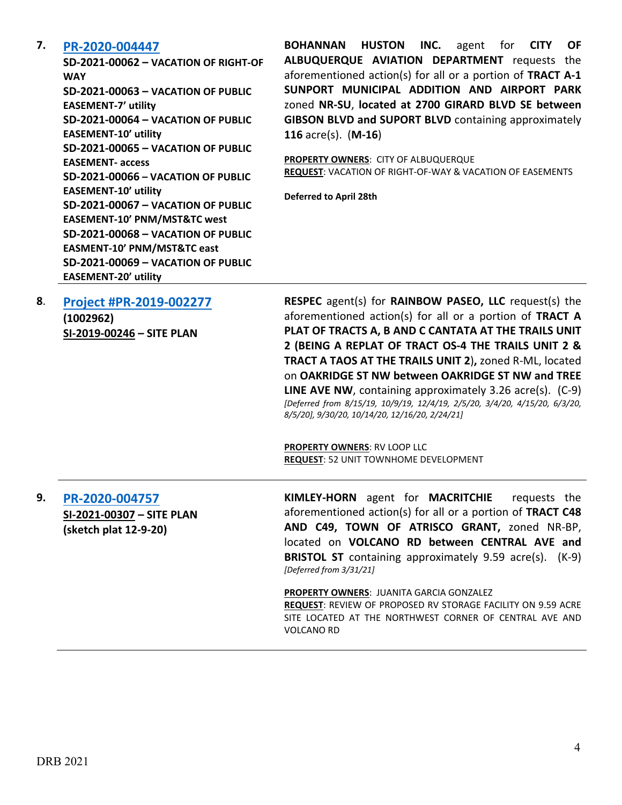#### **7. [PR-2020-004447](http://data.cabq.gov/government/planning/DRB/PR-2020-004447/DRB%20Submittals/PR-2020-004447_April_21,%202021/Application/Vacation%20submittal%20package_3.26.21.pdf)**

**SD-2021-00062 – VACATION OF RIGHT-OF WAY SD-2021-00063 – VACATION OF PUBLIC EASEMENT-7' utility SD-2021-00064 – VACATION OF PUBLIC EASEMENT-10' utility SD-2021-00065 – VACATION OF PUBLIC EASEMENT- access SD-2021-00066 – VACATION OF PUBLIC EASEMENT-10' utility SD-2021-00067 – VACATION OF PUBLIC EASEMENT-10' PNM/MST&TC west SD-2021-00068 – VACATION OF PUBLIC EASMENT-10' PNM/MST&TC east SD-2021-00069 – VACATION OF PUBLIC EASEMENT-20' utility**

**BOHANNAN HUSTON INC.** agent for **CITY OF ALBUQUERQUE AVIATION DEPARTMENT** requests the aforementioned action(s) for all or a portion of **TRACT A-1 SUNPORT MUNICIPAL ADDITION AND AIRPORT PARK** zoned **NR-SU**, **located at 2700 GIRARD BLVD SE between GIBSON BLVD and SUPORT BLVD** containing approximately **116** acre(s). (**M-16**)

**PROPERTY OWNERS**: CITY OF ALBUQUERQUE **REQUEST**: VACATION OF RIGHT-OF-WAY & VACATION OF EASEMENTS

**Deferred to April 28th**

| 8. | Project #PR-2019-002277 |
|----|-------------------------|
|    | (1002962)               |

**SI-2019-00246 – SITE PLAN**

**RESPEC** agent(s) for **RAINBOW PASEO, LLC** request(s) the aforementioned action(s) for all or a portion of **TRACT A PLAT OF TRACTS A, B AND C CANTATA AT THE TRAILS UNIT 2 (BEING A REPLAT OF TRACT OS-4 THE TRAILS UNIT 2 & TRACT A TAOS AT THE TRAILS UNIT 2**)**,** zoned R-ML, located on **OAKRIDGE ST NW between OAKRIDGE ST NW and TREE LINE AVE NW**, containing approximately 3.26 acre(s). (C-9) *[Deferred from 8/15/19, 10/9/19, 12/4/19, 2/5/20, 3/4/20, 4/15/20, 6/3/20, 8/5/20], 9/30/20, 10/14/20, 12/16/20, 2/24/21]*

**PROPERTY OWNERS**: RV LOOP LLC **REQUEST**: 52 UNIT TOWNHOME DEVELOPMENT

**9. [PR-2020-004757](http://data.cabq.gov/government/planning/DRB/PR-2020-004757/DRB%20Submittals/PR-2020-004757_Apr_21_2021_supp/DRB%20Site%20Plan%20Submission.pdf) SI-2021-00307 – SITE PLAN (sketch plat 12-9-20)**

**KIMLEY-HORN** agent for **MACRITCHIE** requests the aforementioned action(s) for all or a portion of **TRACT C48 AND C49, TOWN OF ATRISCO GRANT,** zoned NR-BP, located on **VOLCANO RD between CENTRAL AVE and BRISTOL ST** containing approximately 9.59 acre(s). (K-9) *[Deferred from 3/31/21]*

**PROPERTY OWNERS**: JUANITA GARCIA GONZALEZ **REQUEST**: REVIEW OF PROPOSED RV STORAGE FACILITY ON 9.59 ACRE SITE LOCATED AT THE NORTHWEST CORNER OF CENTRAL AVE AND VOLCANO RD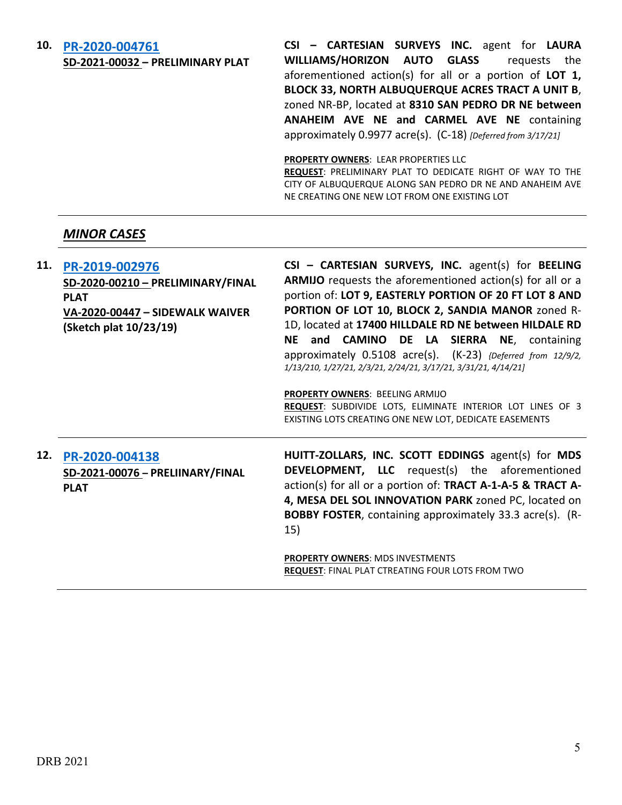#### **10. [PR-2020-004761](http://data.cabq.gov/government/planning/DRB/PR-2020-004761/DRB%20Submittals/PR-2020-004761_April_21_2021_Supp/Application/PR-2020-004761_DRB%20Supp_form_REV.pdf)**

**SD-2021-00032 – PRELIMINARY PLAT**

**CSI – CARTESIAN SURVEYS INC.** agent for **LAURA WILLIAMS/HORIZON AUTO GLASS** requests the aforementioned action(s) for all or a portion of **LOT 1, BLOCK 33, NORTH ALBUQUERQUE ACRES TRACT A UNIT B**, zoned NR-BP, located at **8310 SAN PEDRO DR NE between ANAHEIM AVE NE and CARMEL AVE NE** containing approximately 0.9977 acre(s). (C-18) *[Deferred from 3/17/21]*

**PROPERTY OWNERS**: LEAR PROPERTIES LLC

**REQUEST**: PRELIMINARY PLAT TO DEDICATE RIGHT OF WAY TO THE CITY OF ALBUQUERQUE ALONG SAN PEDRO DR NE AND ANAHEIM AVE NE CREATING ONE NEW LOT FROM ONE EXISTING LOT

## *MINOR CASES*

| 11. | PR-2019-002976<br>SD-2020-00210 - PRELIMINARY/FINAL<br><b>PLAT</b><br>VA-2020-00447 - SIDEWALK WAIVER<br>(Sketch plat 10/23/19) | CSI - CARTESIAN SURVEYS, INC. agent(s) for BEELING<br><b>ARMIJO</b> requests the aforementioned action(s) for all or a<br>portion of: LOT 9, EASTERLY PORTION OF 20 FT LOT 8 AND<br>PORTION OF LOT 10, BLOCK 2, SANDIA MANOR zoned R-<br>1D, located at 17400 HILLDALE RD NE between HILDALE RD<br>and CAMINO DE LA SIERRA NE, containing<br>NE –<br>approximately 0.5108 acre(s). (K-23) {Deferred from 12/9/2,<br>1/13/210, 1/27/21, 2/3/21, 2/24/21, 3/17/21, 3/31/21, 4/14/21]<br>PROPERTY OWNERS: BEELING ARMIJO<br>REQUEST: SUBDIVIDE LOTS, ELIMINATE INTERIOR LOT LINES OF 3<br>EXISTING LOTS CREATING ONE NEW LOT, DEDICATE EASEMENTS |
|-----|---------------------------------------------------------------------------------------------------------------------------------|-----------------------------------------------------------------------------------------------------------------------------------------------------------------------------------------------------------------------------------------------------------------------------------------------------------------------------------------------------------------------------------------------------------------------------------------------------------------------------------------------------------------------------------------------------------------------------------------------------------------------------------------------|
| 12. | PR-2020-004138<br>SD-2021-00076 - PRELIINARY/FINAL<br><b>PLAT</b>                                                               | HUITT-ZOLLARS, INC. SCOTT EDDINGS agent(s) for MDS<br><b>DEVELOPMENT, LLC</b> request(s) the aforementioned<br>action(s) for all or a portion of: TRACT A-1-A-5 & TRACT A-<br>4, MESA DEL SOL INNOVATION PARK zoned PC, located on<br><b>BOBBY FOSTER, containing approximately 33.3 acre(s). (R-</b><br>15)<br><b>PROPERTY OWNERS: MDS INVESTMENTS</b><br><b>REQUEST: FINAL PLAT CTREATING FOUR LOTS FROM TWO</b>                                                                                                                                                                                                                            |